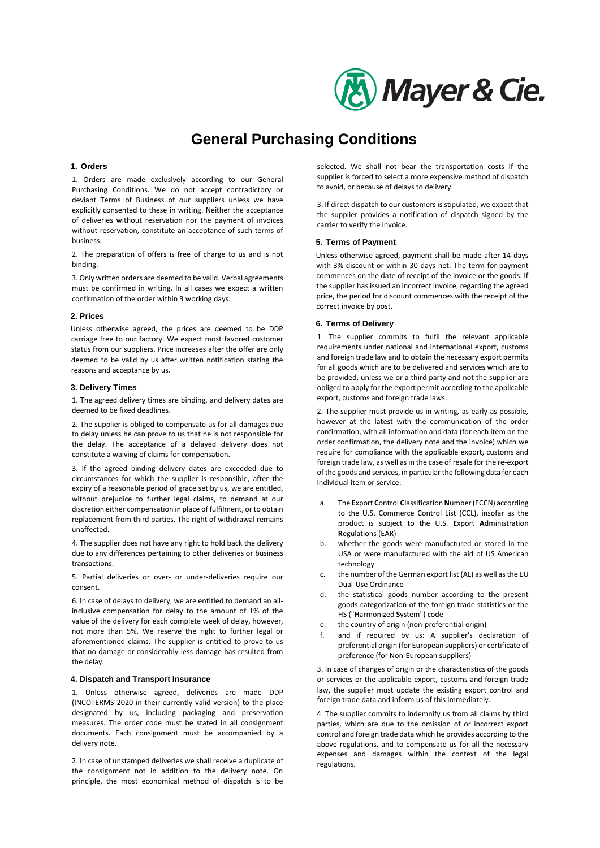

# **General Purchasing Conditions**

#### **1. Orders**

1. Orders are made exclusively according to our General Purchasing Conditions. We do not accept contradictory or deviant Terms of Business of our suppliers unless we have explicitly consented to these in writing. Neither the acceptance of deliveries without reservation nor the payment of invoices without reservation, constitute an acceptance of such terms of business.

2. The preparation of offers is free of charge to us and is not binding.

3. Only written orders are deemed to be valid. Verbal agreements must be confirmed in writing. In all cases we expect a written confirmation of the order within 3 working days.

#### **2. Prices**

Unless otherwise agreed, the prices are deemed to be DDP carriage free to our factory. We expect most favored customer status from our suppliers. Price increases after the offer are only deemed to be valid by us after written notification stating the reasons and acceptance by us.

### **3. Delivery Times**

1. The agreed delivery times are binding, and delivery dates are deemed to be fixed deadlines.

2. The supplier is obliged to compensate us for all damages due to delay unless he can prove to us that he is not responsible for the delay. The acceptance of a delayed delivery does not constitute a waiving of claims for compensation.

3. If the agreed binding delivery dates are exceeded due to circumstances for which the supplier is responsible, after the expiry of a reasonable period of grace set by us, we are entitled, without prejudice to further legal claims, to demand at our discretion either compensation in place of fulfilment, or to obtain replacement from third parties. The right of withdrawal remains unaffected.

4. The supplier does not have any right to hold back the delivery due to any differences pertaining to other deliveries or business transactions.

5. Partial deliveries or over- or under-deliveries require our consent.

6. In case of delays to delivery, we are entitled to demand an allinclusive compensation for delay to the amount of 1% of the value of the delivery for each complete week of delay, however, not more than 5%. We reserve the right to further legal or aforementioned claims. The supplier is entitled to prove to us that no damage or considerably less damage has resulted from the delay.

# **4. Dispatch and Transport Insurance**

1. Unless otherwise agreed, deliveries are made DDP (INCOTERMS 2020 in their currently valid version) to the place designated by us, including packaging and preservation measures. The order code must be stated in all consignment documents. Each consignment must be accompanied by a delivery note.

2. In case of unstamped deliveries we shall receive a duplicate of the consignment not in addition to the delivery note. On principle, the most economical method of dispatch is to be

selected. We shall not bear the transportation costs if the supplier is forced to select a more expensive method of dispatch to avoid, or because of delays to delivery.

3. If direct dispatch to our customers is stipulated, we expect that the supplier provides a notification of dispatch signed by the carrier to verify the invoice.

#### **5. Terms of Payment**

Unless otherwise agreed, payment shall be made after 14 days with 3% discount or within 30 days net. The term for payment commences on the date of receipt of the invoice or the goods. If the supplier has issued an incorrect invoice, regarding the agreed price, the period for discount commences with the receipt of the correct invoice by post.

#### **6. Terms of Delivery**

1. The supplier commits to fulfil the relevant applicable requirements under national and international export, customs and foreign trade law and to obtain the necessary export permits for all goods which are to be delivered and services which are to be provided, unless we or a third party and not the supplier are obliged to apply for the export permit according to the applicable export, customs and foreign trade laws.

2. The supplier must provide us in writing, as early as possible, however at the latest with the communication of the order confirmation, with all information and data (for each item on the order confirmation, the delivery note and the invoice) which we require for compliance with the applicable export, customs and foreign trade law, as well as in the case of resale for the re-export of the goods and services, in particular the following data for each individual item or service:

- a. The **E**xport **C**ontrol **C**lassification **N**umber (ECCN) according to the U.S. Commerce Control List (CCL), insofar as the product is subject to the U.S. **E**xport **A**dministration **R**egulations (EAR)
- b. whether the goods were manufactured or stored in the USA or were manufactured with the aid of US American technology
- c. the number of the German export list (AL) as well as the EU Dual-Use Ordinance
- d. the statistical goods number according to the present goods categorization of the foreign trade statistics or the HS ("**H**armonized **S**ystem") code
- e. the country of origin (non-preferential origin)
- f. and if required by us: A supplier's declaration of preferential origin (for European suppliers) or certificate of preference (for Non-European suppliers)

3. In case of changes of origin or the characteristics of the goods or services or the applicable export, customs and foreign trade law, the supplier must update the existing export control and foreign trade data and inform us of this immediately.

4. The supplier commits to indemnify us from all claims by third parties, which are due to the omission of or incorrect export control and foreign trade data which he provides according to the above regulations, and to compensate us for all the necessary expenses and damages within the context of the legal regulations.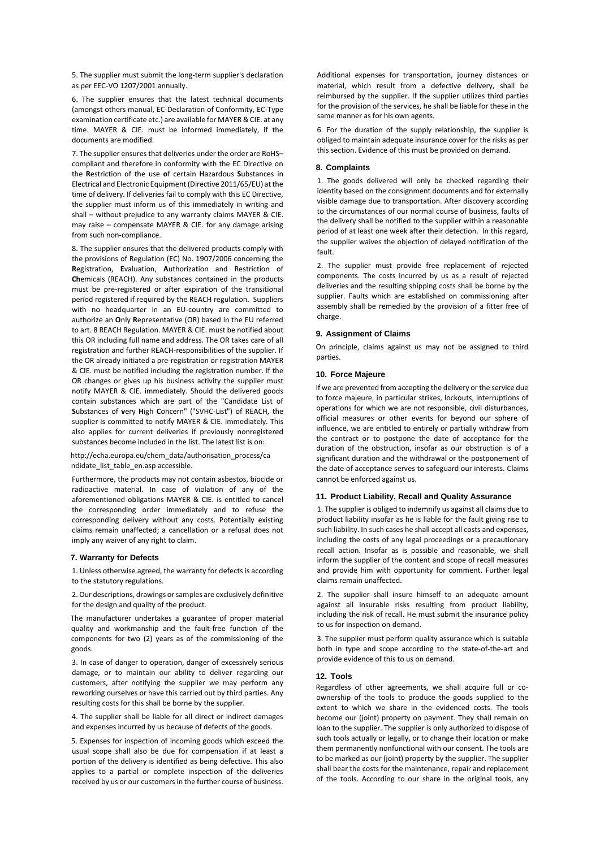5. The supplier must submit the long-term supplier's declaration as per EEC-VO 1207/2001 annually.

6. The supplier ensures that the latest technical documents (amongst others manual, EC-Declaration of Conformity, [EC-Type](http://dict.leo.org/%23/search=EC-type%26searchLoc=0%26resultOrder=basic%26multiwordShowSingle=on)  [examination](http://dict.leo.org/%23/search=examination%26searchLoc=0%26resultOrder=basic%26multiwordShowSingle=on) [certificate e](http://dict.leo.org/%23/search=certificate%26searchLoc=0%26resultOrder=basic%26multiwordShowSingle=on)tc.) are available for MAYER & CIE. at any time. MAYER & CIE. must be informed immediately, if the documents are modified.

7. The supplier ensures that deliveries under the order are RoHS– compliant and therefore in conformity with the EC Directive on the **R**estriction of the use **o**f certain **H**azardous **S**ubstances in Electrical and Electronic Equipment (Directive 2011/65/EU) at the time of delivery. If deliveries fail to comply with this EC Directive, the supplier must inform us of this immediately in writing and shall – without prejudice to any warranty claims MAYER & CIE. may raise – compensate MAYER & CIE. for any damage arising from such non-compliance.

8. The supplier ensures that the delivered products comply with the provisions of Regulation (EC) No. 1907/2006 concerning the **R**egistration, **E**valuation, **A**uthorization and Restriction of **Ch**emicals (REACH). Any substances contained in the products must be pre-registered or after expiration of the transitional period registered if required by the REACH regulation. Suppliers with no headquarter in an EU-country are committed to authorize an **O**nly **R**epresentative (OR) based in the EU referred to art. 8 REACH Regulation. MAYER & CIE. must be notified about this OR including full name and address. The OR takes care of all registration and further REACH-responsibilities of the supplier. If the OR already initiated a pre-registration or registration MAYER & CIE. must be notified including the registration number. If the OR changes or gives up his business activity the supplier must notify MAYER & CIE. immediately. Should the delivered goods contain substances which are part of the "Candidate List of **S**ubstances of **v**ery **H**igh **C**oncern" ("SVHC-List") of REACH, the supplier is committed to notify MAYER & CIE. immediately. This also applies for current deliveries if previously nonregistered substances become included in the list. The latest list is on:

[http://echa.europa.eu/chem\\_data/authorisation\\_process/ca](http://echa.europa.eu/chem_data/authorisation_process/candidate_list_table_en.asp)  [ndidate\\_list\\_table\\_en.asp](http://echa.europa.eu/chem_data/authorisation_process/candidate_list_table_en.asp) accessible.

Furthermore, the products may not contain asbestos, biocide or radioactive material. In case of violation of any of the aforementioned obligations MAYER & CIE. is entitled to cancel the corresponding order immediately and to refuse the corresponding delivery without any costs. Potentially existing claims remain unaffected; a cancellation or a refusal does not imply any waiver of any right to claim.

# **7. Warranty for Defects**

1. Unless otherwise agreed, the warranty for defects is according to the statutory regulations.

2. Our descriptions, drawings or samples are exclusively definitive for the design and quality of the product.

The manufacturer undertakes a guarantee of proper material quality and workmanship and the fault-free function of the components for two (2) years as of the commissioning of the goods.

3. In case of danger to operation, danger of excessively serious damage, or to maintain our ability to deliver regarding our customers, after notifying the supplier we may perform any reworking ourselves or have this carried out by third parties. Any resulting costs for this shall be borne by the supplier.

4. The supplier shall be liable for all direct or indirect damages and expenses incurred by us because of defects of the goods.

5. Expenses for inspection of incoming goods which exceed the usual scope shall also be due for compensation if at least a portion of the delivery is identified as being defective. This also applies to a partial or complete inspection of the deliveries received by us or our customers in the further course of business. Additional expenses for transportation, journey distances or material, which result from a defective delivery, shall be reimbursed by the supplier. If the supplier utilizes third parties for the provision of the services, he shall be liable for these in the same manner as for his own agents.

6. For the duration of the supply relationship, the supplier is obliged to maintain adequate insurance cover for the risks as per this section. Evidence of this must be provided on demand.

#### **8. Complaints**

1. The goods delivered will only be checked regarding their identity based on the consignment documents and for externally visible damage due to transportation. After discovery according to the circumstances of our normal course of business, faults of the delivery shall be notified to the supplier within a reasonable period of at least one week after their detection. In this regard, the supplier waives the objection of delayed notification of the fault.

2. The supplier must provide free replacement of rejected components. The costs incurred by us as a result of rejected deliveries and the resulting shipping costs shall be borne by the supplier. Faults which are established on commissioning after assembly shall be remedied by the provision of a fitter free of charge.

#### **9. Assignment of Claims**

On principle, claims against us may not be assigned to third parties.

#### **10. Force Majeure**

If we are prevented from accepting the delivery or the service due to force majeure, in particular strikes, lockouts, interruptions of operations for which we are not responsible, civil disturbances, official measures or other events for beyond our sphere of influence, we are entitled to entirely or partially withdraw from the contract or to postpone the date of acceptance for the duration of the obstruction, insofar as our obstruction is of a significant duration and the withdrawal or the postponement of the date of acceptance serves to safeguard our interests. Claims cannot be enforced against us.

## **11. Product Liability, Recall and Quality Assurance**

1. The supplier is obliged to indemnify us against all claims due to product liability insofar as he is liable for the fault giving rise to such liability. In such cases he shall accept all costs and expenses, including the costs of any legal proceedings or a precautionary recall action. Insofar as is possible and reasonable, we shall inform the supplier of the content and scope of recall measures and provide him with opportunity for comment. Further legal claims remain unaffected.

2. The supplier shall insure himself to an adequate amount against all insurable risks resulting from product liability, including the risk of recall. He must submit the insurance policy to us for inspection on demand.

3. The supplier must perform quality assurance which is suitable both in type and scope according to the state-of-the-art and provide evidence of this to us on demand.

#### **12. Tools**

Regardless of other agreements, we shall acquire full or coownership of the tools to produce the goods supplied to the extent to which we share in the evidenced costs. The tools become our (joint) property on payment. They shall remain on loan to the supplier. The supplier is only authorized to dispose of such tools actually or legally, or to change their location or make them permanently nonfunctional with our consent. The tools are to be marked as our (joint) property by the supplier. The supplier shall bear the costs for the maintenance, repair and replacement of the tools. According to our share in the original tools, any